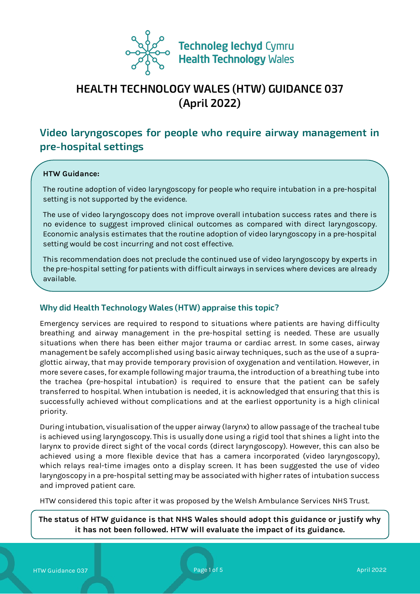

# **HEALTH TECHNOLOGY WALES (HTW) GUIDANCE 037 (April 2022)**

# **Video laryngoscopes for people who require airway management in pre-hospital settings**

#### **HTW Guidance:**

The routine adoption of video laryngoscopy for people who require intubation in a pre-hospital setting is not supported by the evidence.

The use of video laryngoscopy does not improve overall intubation success rates and there is no evidence to suggest improved clinical outcomes as compared with direct laryngoscopy. Economic analysis estimates that the routine adoption of video laryngoscopy in a pre-hospital setting would be cost incurring and not cost effective.

This recommendation does not preclude the continued use of video laryngoscopy by experts in the pre-hospital setting for patients with difficult airways in services where devices are already available.

#### **Why did Health Technology Wales (HTW) appraise this topic?**

Emergency services are required to respond to situations where patients are having difficulty breathing and airway management in the pre-hospital setting is needed. These are usually situations when there has been either major trauma or cardiac arrest. In some cases, airway management be safely accomplished using basic airway techniques, such as the use of a supraglottic airway, that may provide temporary provision of oxygenation and ventilation. However, in more severe cases, for example following major trauma, the introduction of a breathing tube into the trachea (pre-hospital intubation) is required to ensure that the patient can be safely transferred to hospital. When intubation is needed, it is acknowledged that ensuring that this is successfully achieved without complications and at the earliest opportunity is a high clinical priority.

During intubation, visualisation of the upper airway (larynx) to allow passage of the tracheal tube is achieved using laryngoscopy. This is usually done using a rigid tool that shines a light into the larynx to provide direct sight of the vocal cords (direct laryngoscopy). However, this can also be achieved using a more flexible device that has a camera incorporated (video laryngoscopy), which relays real-time images onto a display screen. It has been suggested the use of video laryngoscopy in a pre-hospital setting may be associated with higher rates of intubation success and improved patient care.

HTW considered this topic after it was proposed by the Welsh Ambulance Services NHS Trust.

**The status of HTW guidance is that NHS Wales should adopt this guidance or justify why it has not been followed. HTW will evaluate the impact of its guidance.**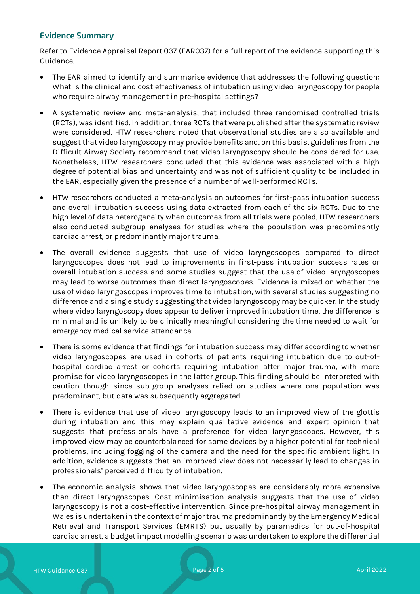# **Evidence Summary**

Refer to Evidence Appraisal Report 037 (EAR037) for a full report of the evidence supporting this Guidance.

- The EAR aimed to identify and summarise evidence that addresses the following question: What is the clinical and cost effectiveness of intubation using video laryngoscopy for people who require airway management in pre-hospital settings?
- A systematic review and meta-analysis, that included three randomised controlled trials (RCTs), was identified. In addition, three RCTs that were published after the systematic review were considered. HTW researchers noted that observational studies are also available and suggest that video laryngoscopy may provide benefits and, on this basis, guidelines from the Difficult Airway Society recommend that video laryngoscopy should be considered for use. Nonetheless, HTW researchers concluded that this evidence was associated with a high degree of potential bias and uncertainty and was not of sufficient quality to be included in the EAR, especially given the presence of a number of well-performed RCTs.
- HTW researchers conducted a meta-analysis on outcomes for first-pass intubation success and overall intubation success using data extracted from each of the six RCTs. Due to the high level of data heterogeneity when outcomes from all trials were pooled, HTW researchers also conducted subgroup analyses for studies where the population was predominantly cardiac arrest, or predominantly major trauma.
- The overall evidence suggests that use of video laryngoscopes compared to direct laryngoscopes does not lead to improvements in first-pass intubation success rates or overall intubation success and some studies suggest that the use of video laryngoscopes may lead to worse outcomes than direct laryngoscopes. Evidence is mixed on whether the use of video laryngoscopes improves time to intubation, with several studies suggesting no difference and a single study suggesting that video laryngoscopy may be quicker. In the study where video laryngoscopy does appear to deliver improved intubation time, the difference is minimal and is unlikely to be clinically meaningful considering the time needed to wait for emergency medical service attendance.
- There is some evidence that findings for intubation success may differ according to whether video laryngoscopes are used in cohorts of patients requiring intubation due to out-ofhospital cardiac arrest or cohorts requiring intubation after major trauma, with more promise for video laryngoscopes in the latter group. This finding should be interpreted with caution though since sub-group analyses relied on studies where one population was predominant, but data was subsequently aggregated.
- There is evidence that use of video laryngoscopy leads to an improved view of the glottis during intubation and this may explain qualitative evidence and expert opinion that suggests that professionals have a preference for video laryngoscopes. However, this improved view may be counterbalanced for some devices by a higher potential for technical problems, including fogging of the camera and the need for the specific ambient light. In addition, evidence suggests that an improved view does not necessarily lead to changes in professionals' perceived difficulty of intubation.
- The economic analysis shows that video laryngoscopes are considerably more expensive than direct laryngoscopes. Cost minimisation analysis suggests that the use of video laryngoscopy is not a cost-effective intervention. Since pre-hospital airway management in Wales is undertaken in the context of major trauma predominantly by the Emergency Medical Retrieval and Transport Services (EMRTS) but usually by paramedics for out-of-hospital cardiac arrest, a budget impact modelling scenario was undertaken to explore the differential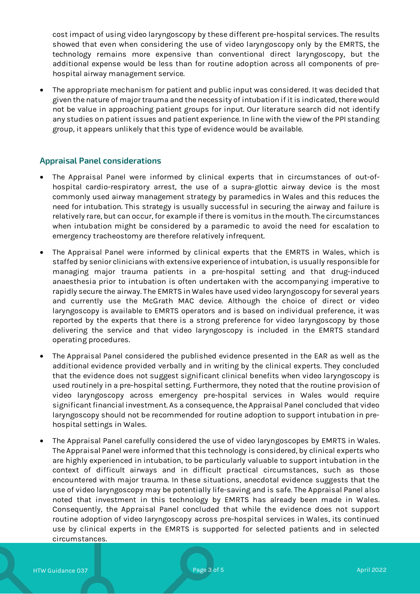cost impact of using video laryngoscopy by these different pre-hospital services. The results showed that even when considering the use of video laryngoscopy only by the EMRTS, the technology remains more expensive than conventional direct laryngoscopy, but the additional expense would be less than for routine adoption across all components of prehospital airway management service.

• The appropriate mechanism for patient and public input was considered. It was decided that given the nature of major trauma and the necessity of intubation if it is indicated, there would not be value in approaching patient groups for input. Our literature search did not identify any studies on patient issues and patient experience. In line with the view of the PPI standing group, it appears unlikely that this type of evidence would be available.

### **Appraisal Panel considerations**

- The Appraisal Panel were informed by clinical experts that in circumstances of out-ofhospital cardio-respiratory arrest, the use of a supra-glottic airway device is the most commonly used airway management strategy by paramedics in Wales and this reduces the need for intubation. This strategy is usually successful in securing the airway and failure is relatively rare, but can occur, for example if there is vomitus in the mouth. The circumstances when intubation might be considered by a paramedic to avoid the need for escalation to emergency tracheostomy are therefore relatively infrequent.
- The Appraisal Panel were informed by clinical experts that the EMRTS in Wales, which is staffed by senior clinicians with extensive experience of intubation, is usually responsible for managing major trauma patients in a pre-hospital setting and that drug-induced anaesthesia prior to intubation is often undertaken with the accompanying imperative to rapidly secure the airway. The EMRTS in Wales have used video laryngoscopy for several years and currently use the McGrath MAC device. Although the choice of direct or video laryngoscopy is available to EMRTS operators and is based on individual preference, it was reported by the experts that there is a strong preference for video laryngoscopy by those delivering the service and that video laryngoscopy is included in the EMRTS standard operating procedures.
- The Appraisal Panel considered the published evidence presented in the EAR as well as the additional evidence provided verbally and in writing by the clinical experts. They concluded that the evidence does not suggest significant clinical benefits when video laryngoscopy is used routinely in a pre-hospital setting. Furthermore, they noted that the routine provision of video laryngoscopy across emergency pre-hospital services in Wales would require significant financial investment. As a consequence, the Appraisal Panel concluded that video laryngoscopy should not be recommended for routine adoption to support intubation in prehospital settings in Wales.
- The Appraisal Panel carefully considered the use of video laryngoscopes by EMRTS in Wales. The Appraisal Panel were informed that this technology is considered, by clinical experts who are highly experienced in intubation, to be particularly valuable to support intubation in the context of difficult airways and in difficult practical circumstances, such as those encountered with major trauma. In these situations, anecdotal evidence suggests that the use of video laryngoscopy may be potentially life-saving and is safe. The Appraisal Panel also noted that investment in this technology by EMRTS has already been made in Wales. Consequently, the Appraisal Panel concluded that while the evidence does not support routine adoption of video laryngoscopy across pre-hospital services in Wales, its continued use by clinical experts in the EMRTS is supported for selected patients and in selected circumstances.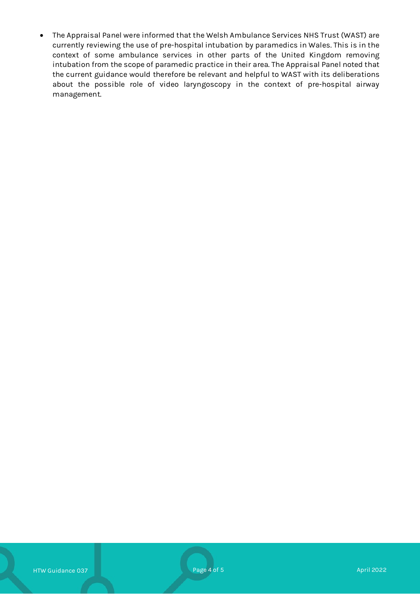• The Appraisal Panel were informed that the Welsh Ambulance Services NHS Trust (WAST) are currently reviewing the use of pre-hospital intubation by paramedics in Wales. This is in the context of some ambulance services in other parts of the United Kingdom removing intubation from the scope of paramedic practice in their area. The Appraisal Panel noted that the current guidance would therefore be relevant and helpful to WAST with its deliberations about the possible role of video laryngoscopy in the context of pre-hospital airway management.